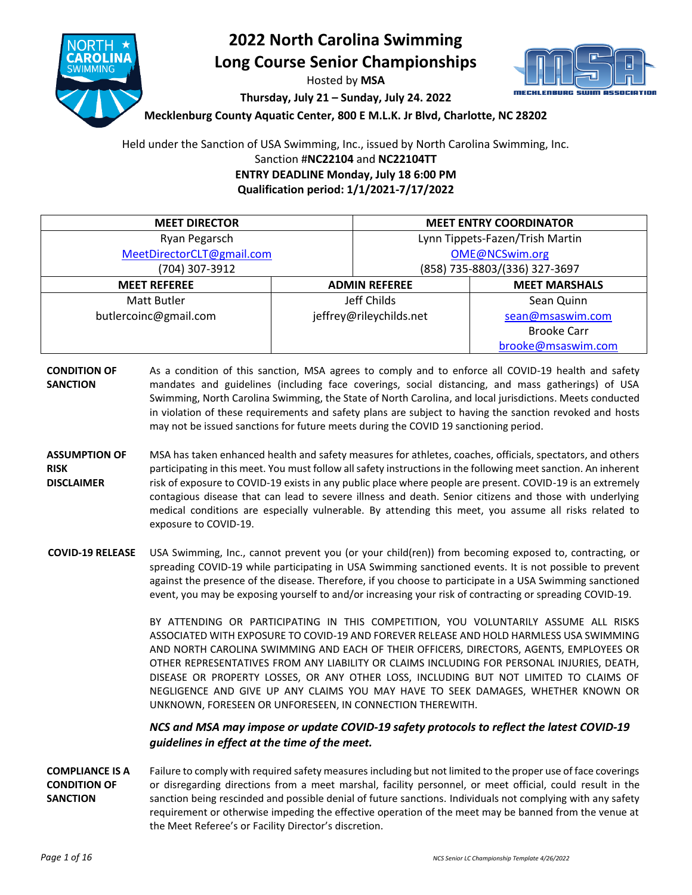

## **2022 North Carolina Swimming Long Course Senior Championships**

Hosted by **MSA**

**Thursday, July 21 – Sunday, July 24. 2022**

**Mecklenburg County Aquatic Center, 800 E M.L.K. Jr Blvd, Charlotte, NC 28202**

Held under the Sanction of USA Swimming, Inc., issued by North Carolina Swimming, Inc. Sanction #**NC22104** and **NC22104TT ENTRY DEADLINE Monday, July 18 6:00 PM Qualification period: 1/1/2021-7/17/2022**

**MEET DIRECTOR MEET ENTRY COORDINATOR** Ryan Pegarsch [MeetDirectorCLT@gmail.com](mailto:pegarschr@gmail.com) (704) 307-3912 Lynn Tippets-Fazen/Trish Martin [OME@NCSwim.org](mailto:OME@NCSwim.org) (858) 735-8803/(336) 327-3697 **MEET REFEREE ADMIN REFEREE MEET MARSHALS** Matt Butler butlercoinc@gmail.com Jeff Childs jeffrey@rileychilds.net Sean Quinn [sean@msaswim.com](mailto:sean@msaswim.com) Brooke Carr [brooke@msaswim.com](mailto:brooke@msaswim.com)

- **CONDITION OF SANCTION** As a condition of this sanction, MSA agrees to comply and to enforce all COVID-19 health and safety mandates and guidelines (including face coverings, social distancing, and mass gatherings) of USA Swimming, North Carolina Swimming, the State of North Carolina, and local jurisdictions. Meets conducted in violation of these requirements and safety plans are subject to having the sanction revoked and hosts may not be issued sanctions for future meets during the COVID 19 sanctioning period.
- **ASSUMPTION OF RISK DISCLAIMER** MSA has taken enhanced health and safety measures for athletes, coaches, officials, spectators, and others participating in this meet. You must follow all safety instructions in the following meet sanction. An inherent risk of exposure to COVID-19 exists in any public place where people are present. COVID-19 is an extremely contagious disease that can lead to severe illness and death. Senior citizens and those with underlying medical conditions are especially vulnerable. By attending this meet, you assume all risks related to exposure to COVID-19.
- **COVID-19 RELEASE** USA Swimming, Inc., cannot prevent you (or your child(ren)) from becoming exposed to, contracting, or spreading COVID-19 while participating in USA Swimming sanctioned events. It is not possible to prevent against the presence of the disease. Therefore, if you choose to participate in a USA Swimming sanctioned event, you may be exposing yourself to and/or increasing your risk of contracting or spreading COVID-19.

BY ATTENDING OR PARTICIPATING IN THIS COMPETITION, YOU VOLUNTARILY ASSUME ALL RISKS ASSOCIATED WITH EXPOSURE TO COVID-19 AND FOREVER RELEASE AND HOLD HARMLESS USA SWIMMING AND NORTH CAROLINA SWIMMING AND EACH OF THEIR OFFICERS, DIRECTORS, AGENTS, EMPLOYEES OR OTHER REPRESENTATIVES FROM ANY LIABILITY OR CLAIMS INCLUDING FOR PERSONAL INJURIES, DEATH, DISEASE OR PROPERTY LOSSES, OR ANY OTHER LOSS, INCLUDING BUT NOT LIMITED TO CLAIMS OF NEGLIGENCE AND GIVE UP ANY CLAIMS YOU MAY HAVE TO SEEK DAMAGES, WHETHER KNOWN OR UNKNOWN, FORESEEN OR UNFORESEEN, IN CONNECTION THEREWITH.

*NCS and MSA may impose or update COVID-19 safety protocols to reflect the latest COVID-19 guidelines in effect at the time of the meet.*

**COMPLIANCE IS A CONDITION OF SANCTION** Failure to comply with required safety measures including but not limited to the proper use of face coverings or disregarding directions from a meet marshal, facility personnel, or meet official, could result in the sanction being rescinded and possible denial of future sanctions. Individuals not complying with any safety requirement or otherwise impeding the effective operation of the meet may be banned from the venue at the Meet Referee's or Facility Director's discretion.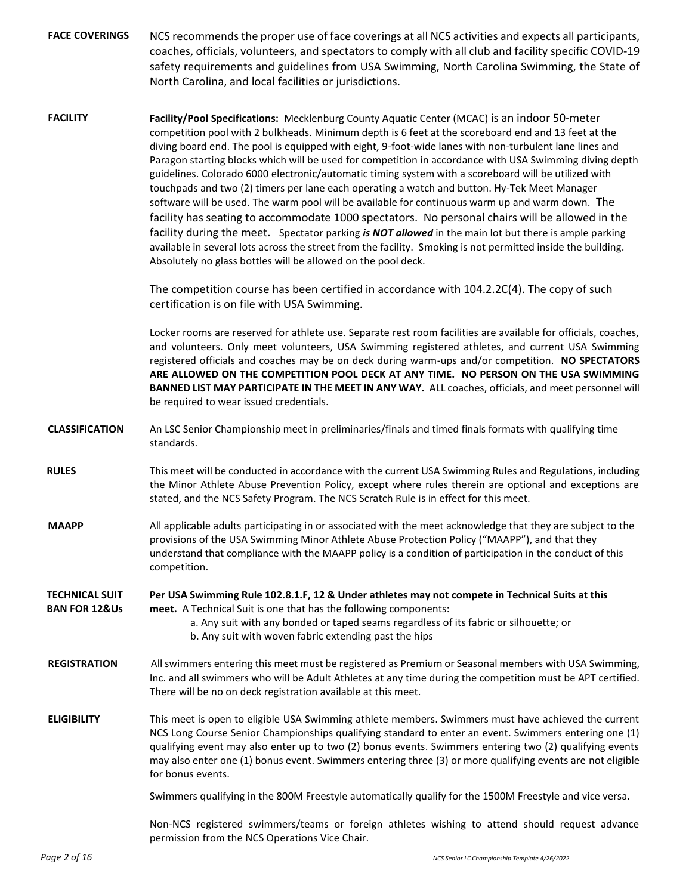FACE COVERINGS NCS recommends the proper use of face coverings at all NCS activities and expects all participants, coaches, officials, volunteers, and spectators to comply with all club and facility specific COVID-19 safety requirements and guidelines from USA Swimming, North Carolina Swimming, the State of North Carolina, and local facilities or jurisdictions.

**FACILITY Facility/Pool Specifications:** Mecklenburg County Aquatic Center (MCAC) is an indoor 50-meter competition pool with 2 bulkheads. Minimum depth is 6 feet at the scoreboard end and 13 feet at the diving board end. The pool is equipped with eight, 9-foot-wide lanes with non-turbulent lane lines and Paragon starting blocks which will be used for competition in accordance with USA Swimming diving depth guidelines. Colorado 6000 electronic/automatic timing system with a scoreboard will be utilized with touchpads and two (2) timers per lane each operating a watch and button. Hy-Tek Meet Manager software will be used. The warm pool will be available for continuous warm up and warm down. The facility has seating to accommodate 1000 spectators. No personal chairs will be allowed in the facility during the meet. Spectator parking *is NOT allowed* in the main lot but there is ample parking available in several lots across the street from the facility. Smoking is not permitted inside the building. Absolutely no glass bottles will be allowed on the pool deck.

> The competition course has been certified in accordance with 104.2.2C(4). The copy of such certification is on file with USA Swimming.

Locker rooms are reserved for athlete use. Separate rest room facilities are available for officials, coaches, and volunteers. Only meet volunteers, USA Swimming registered athletes, and current USA Swimming registered officials and coaches may be on deck during warm-ups and/or competition. **NO SPECTATORS ARE ALLOWED ON THE COMPETITION POOL DECK AT ANY TIME. NO PERSON ON THE USA SWIMMING BANNED LIST MAY PARTICIPATE IN THE MEET IN ANY WAY.** ALL coaches, officials, and meet personnel will be required to wear issued credentials.

- **CLASSIFICATION** An LSC Senior Championship meet in preliminaries/finals and timed finals formats with qualifying time standards.
- **RULES** This meet will be conducted in accordance with the current USA Swimming Rules and Regulations, including the Minor Athlete Abuse Prevention Policy, except where rules therein are optional and exceptions are stated, and the NCS Safety Program. The NCS Scratch Rule is in effect for this meet.
- **MAAPP** All applicable adults participating in or associated with the meet acknowledge that they are subject to the provisions of the USA Swimming Minor Athlete Abuse Protection Policy ("MAAPP"), and that they understand that compliance with the MAAPP policy is a condition of participation in the conduct of this competition.

**TECHNICAL SUIT BAN FOR 12&Us Per USA Swimming Rule 102.8.1.F, 12 & Under athletes may not compete in Technical Suits at this meet.** A Technical Suit is one that has the following components:

> a. Any suit with any bonded or taped seams regardless of its fabric or silhouette; or b. Any suit with woven fabric extending past the hips

- **REGISTRATION** All swimmers entering this meet must be registered as Premium or Seasonal members with USA Swimming, Inc. and all swimmers who will be Adult Athletes at any time during the competition must be APT certified. There will be no on deck registration available at this meet.
- **ELIGIBILITY** This meet is open to eligible USA Swimming athlete members. Swimmers must have achieved the current NCS Long Course Senior Championships qualifying standard to enter an event. Swimmers entering one (1) qualifying event may also enter up to two (2) bonus events. Swimmers entering two (2) qualifying events may also enter one (1) bonus event. Swimmers entering three (3) or more qualifying events are not eligible for bonus events.

Swimmers qualifying in the 800M Freestyle automatically qualify for the 1500M Freestyle and vice versa.

Non-NCS registered swimmers/teams or foreign athletes wishing to attend should request advance permission from the NCS Operations Vice Chair.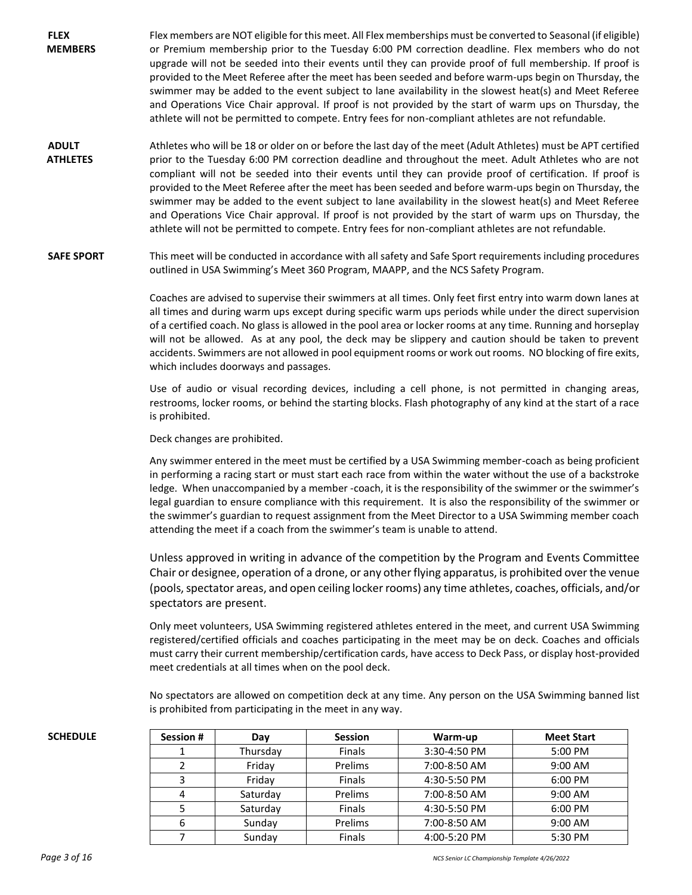- **FLEX MEMBERS** Flex members are NOT eligible for this meet. All Flex memberships must be converted to Seasonal (if eligible) or Premium membership prior to the Tuesday 6:00 PM correction deadline. Flex members who do not upgrade will not be seeded into their events until they can provide proof of full membership. If proof is provided to the Meet Referee after the meet has been seeded and before warm-ups begin on Thursday, the swimmer may be added to the event subject to lane availability in the slowest heat(s) and Meet Referee and Operations Vice Chair approval. If proof is not provided by the start of warm ups on Thursday, the athlete will not be permitted to compete. Entry fees for non-compliant athletes are not refundable.
- **ADULT ATHLETES** Athletes who will be 18 or older on or before the last day of the meet (Adult Athletes) must be APT certified prior to the Tuesday 6:00 PM correction deadline and throughout the meet. Adult Athletes who are not compliant will not be seeded into their events until they can provide proof of certification. If proof is provided to the Meet Referee after the meet has been seeded and before warm-ups begin on Thursday, the swimmer may be added to the event subject to lane availability in the slowest heat(s) and Meet Referee and Operations Vice Chair approval. If proof is not provided by the start of warm ups on Thursday, the athlete will not be permitted to compete. Entry fees for non-compliant athletes are not refundable.

**SAFE SPORT** This meet will be conducted in accordance with all safety and Safe Sport requirements including procedures outlined in USA Swimming's Meet 360 Program, MAAPP, and the NCS Safety Program.

> Coaches are advised to supervise their swimmers at all times. Only feet first entry into warm down lanes at all times and during warm ups except during specific warm ups periods while under the direct supervision of a certified coach. No glass is allowed in the pool area or locker rooms at any time. Running and horseplay will not be allowed. As at any pool, the deck may be slippery and caution should be taken to prevent accidents. Swimmers are not allowed in pool equipment rooms or work out rooms. NO blocking of fire exits, which includes doorways and passages.

> Use of audio or visual recording devices, including a cell phone, is not permitted in changing areas, restrooms, locker rooms, or behind the starting blocks. Flash photography of any kind at the start of a race is prohibited.

Deck changes are prohibited.

Any swimmer entered in the meet must be certified by a USA Swimming member-coach as being proficient in performing a racing start or must start each race from within the water without the use of a backstroke ledge. When unaccompanied by a member -coach, it is the responsibility of the swimmer or the swimmer's legal guardian to ensure compliance with this requirement. It is also the responsibility of the swimmer or the swimmer's guardian to request assignment from the Meet Director to a USA Swimming member coach attending the meet if a coach from the swimmer's team is unable to attend.

Unless approved in writing in advance of the competition by the Program and Events Committee Chair or designee, operation of a drone, or any other flying apparatus, is prohibited over the venue (pools, spectator areas, and open ceiling locker rooms) any time athletes, coaches, officials, and/or spectators are present.

Only meet volunteers, USA Swimming registered athletes entered in the meet, and current USA Swimming registered/certified officials and coaches participating in the meet may be on deck. Coaches and officials must carry their current membership/certification cards, have access to Deck Pass, or display host-provided meet credentials at all times when on the pool deck.

No spectators are allowed on competition deck at any time. Any person on the USA Swimming banned list is prohibited from participating in the meet in any way.

| <b>SCHEDULE</b> | <b>Session #</b> | Day      | <b>Session</b> | Warm-up      | <b>Meet Start</b> |  |
|-----------------|------------------|----------|----------------|--------------|-------------------|--|
|                 |                  | Thursdav | <b>Finals</b>  | 3:30-4:50 PM | 5:00 PM           |  |
|                 |                  | Friday   | Prelims        | 7:00-8:50 AM | 9:00 AM           |  |
|                 |                  | Friday   | <b>Finals</b>  | 4:30-5:50 PM | 6:00 PM           |  |
|                 |                  | Saturday | Prelims        | 7:00-8:50 AM | $9:00$ AM         |  |
|                 |                  | Saturday | <b>Finals</b>  | 4:30-5:50 PM | 6:00 PM           |  |
|                 | b                | Sunday   | Prelims        | 7:00-8:50 AM | 9:00 AM           |  |
|                 |                  | Sunday   | <b>Finals</b>  | 4:00-5:20 PM | 5:30 PM           |  |
|                 |                  |          |                |              |                   |  |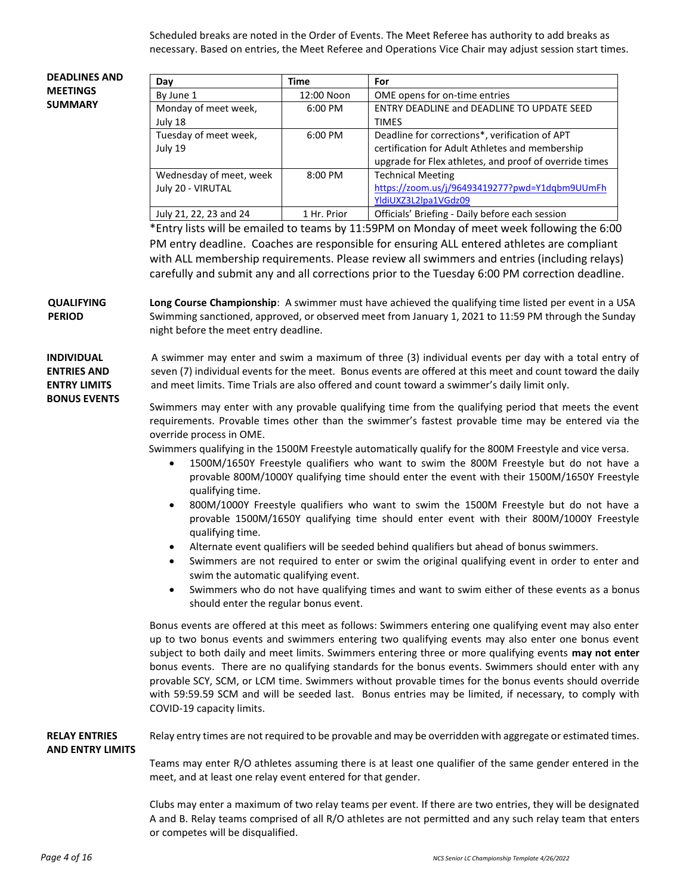Scheduled breaks are noted in the Order of Events. The Meet Referee has authority to add breaks as necessary. Based on entries, the Meet Referee and Operations Vice Chair may adjust session start times.

#### **DEADLINES AND MEETINGS SUMMARY**

| Day                     | Time              | For                                                    |  |  |  |  |  |
|-------------------------|-------------------|--------------------------------------------------------|--|--|--|--|--|
| By June 1               | 12:00 Noon        | OME opens for on-time entries                          |  |  |  |  |  |
| Monday of meet week,    | $6:00 \text{ PM}$ | ENTRY DEADLINE and DEADLINE TO UPDATE SEED             |  |  |  |  |  |
| July 18                 |                   | <b>TIMES</b>                                           |  |  |  |  |  |
| Tuesday of meet week,   | $6:00 \text{ PM}$ | Deadline for corrections*, verification of APT         |  |  |  |  |  |
| July 19                 |                   | certification for Adult Athletes and membership        |  |  |  |  |  |
|                         |                   | upgrade for Flex athletes, and proof of override times |  |  |  |  |  |
| Wednesday of meet, week | $8:00$ PM         | <b>Technical Meeting</b>                               |  |  |  |  |  |
| July 20 - VIRUTAL       |                   | https://zoom.us/j/96493419277?pwd=Y1dgbm9UUmFh         |  |  |  |  |  |
|                         |                   | YldiUXZ3L2lpa1VGdz09                                   |  |  |  |  |  |
| July 21, 22, 23 and 24  | 1 Hr. Prior       | Officials' Briefing - Daily before each session        |  |  |  |  |  |

\*Entry lists will be emailed to teams by 11:59PM on Monday of meet week following the 6:00 PM entry deadline. Coaches are responsible for ensuring ALL entered athletes are compliant with ALL membership requirements. Please review all swimmers and entries (including relays) carefully and submit any and all corrections prior to the Tuesday 6:00 PM correction deadline.

**QUALIFYING PERIOD Long Course Championship**: A swimmer must have achieved the qualifying time listed per event in a USA Swimming sanctioned, approved, or observed meet from January 1, 2021 to 11:59 PM through the Sunday night before the meet entry deadline.

### **INDIVIDUAL ENTRIES AND ENTRY LIMITS BONUS EVENTS**

A swimmer may enter and swim a maximum of three (3) individual events per day with a total entry of seven (7) individual events for the meet. Bonus events are offered at this meet and count toward the daily and meet limits. Time Trials are also offered and count toward a swimmer's daily limit only.

Swimmers may enter with any provable qualifying time from the qualifying period that meets the event requirements. Provable times other than the swimmer's fastest provable time may be entered via the override process in OME.

Swimmers qualifying in the 1500M Freestyle automatically qualify for the 800M Freestyle and vice versa.

- 1500M/1650Y Freestyle qualifiers who want to swim the 800M Freestyle but do not have a provable 800M/1000Y qualifying time should enter the event with their 1500M/1650Y Freestyle qualifying time.
- 800M/1000Y Freestyle qualifiers who want to swim the 1500M Freestyle but do not have a provable 1500M/1650Y qualifying time should enter event with their 800M/1000Y Freestyle qualifying time.
- Alternate event qualifiers will be seeded behind qualifiers but ahead of bonus swimmers.
- Swimmers are not required to enter or swim the original qualifying event in order to enter and swim the automatic qualifying event.
- Swimmers who do not have qualifying times and want to swim either of these events as a bonus should enter the regular bonus event.

Bonus events are offered at this meet as follows: Swimmers entering one qualifying event may also enter up to two bonus events and swimmers entering two qualifying events may also enter one bonus event subject to both daily and meet limits. Swimmers entering three or more qualifying events **may not enter** bonus events. There are no qualifying standards for the bonus events. Swimmers should enter with any provable SCY, SCM, or LCM time. Swimmers without provable times for the bonus events should override with 59:59.59 SCM and will be seeded last. Bonus entries may be limited, if necessary, to comply with COVID-19 capacity limits.

#### **RELAY ENTRIES AND ENTRY LIMITS** Relay entry times are not required to be provable and may be overridden with aggregate or estimated times.

Teams may enter R/O athletes assuming there is at least one qualifier of the same gender entered in the meet, and at least one relay event entered for that gender.

Clubs may enter a maximum of two relay teams per event. If there are two entries, they will be designated A and B. Relay teams comprised of all R/O athletes are not permitted and any such relay team that enters or competes will be disqualified.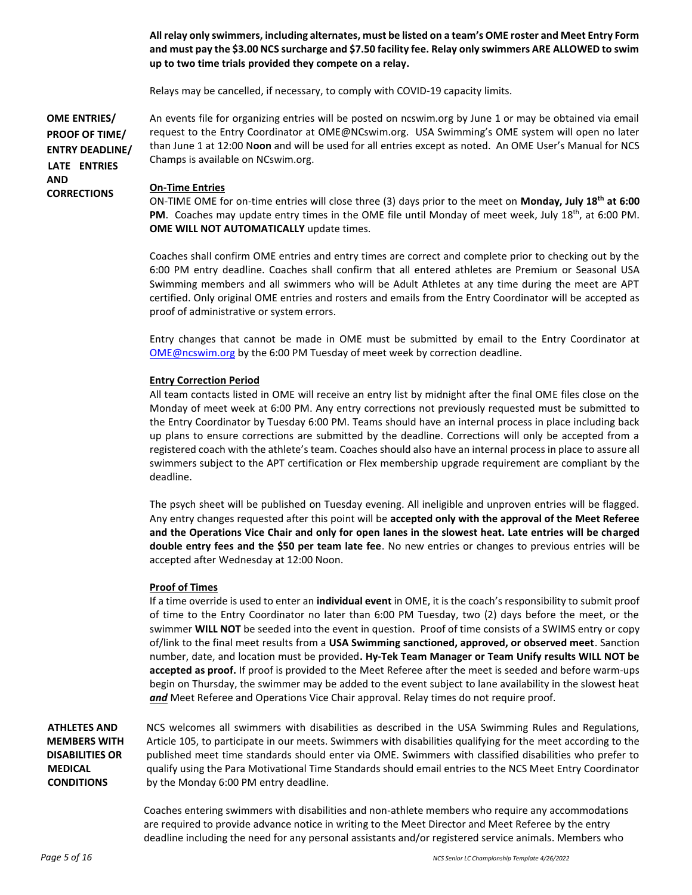**All relay only swimmers, including alternates, must be listed on a team's OME roster and Meet Entry Form and must pay the \$3.00 NCS surcharge and \$7.50 facility fee. Relay only swimmers ARE ALLOWED to swim up to two time trials provided they compete on a relay.**

Relays may be cancelled, if necessary, to comply with COVID-19 capacity limits.

**OME ENTRIES/ PROOF OF TIME/ ENTRY DEADLINE/ LATE ENTRIES**  An events file for organizing entries will be posted on ncswim.org by June 1 or may be obtained via email request to the Entry Coordinator at OME@NCswim.org. USA Swimming's OME system will open no later than June 1 at 12:00 N**oon** and will be used for all entries except as noted. An OME User's Manual for NCS Champs is available on NCswim.org.

#### **On-Time Entries**

**AND** 

**CORRECTIONS**

ON-TIME OME for on-time entries will close three (3) days prior to the meet on **Monday, July 18 th at 6:00**  PM. Coaches may update entry times in the OME file until Monday of meet week, July 18<sup>th</sup>, at 6:00 PM. **OME WILL NOT AUTOMATICALLY** update times.

Coaches shall confirm OME entries and entry times are correct and complete prior to checking out by the 6:00 PM entry deadline. Coaches shall confirm that all entered athletes are Premium or Seasonal USA Swimming members and all swimmers who will be Adult Athletes at any time during the meet are APT certified. Only original OME entries and rosters and emails from the Entry Coordinator will be accepted as proof of administrative or system errors.

Entry changes that cannot be made in OME must be submitted by email to the Entry Coordinator at [OME@ncswim.org](mailto:OME@ncswim.org) by the 6:00 PM Tuesday of meet week by correction deadline.

#### **Entry Correction Period**

All team contacts listed in OME will receive an entry list by midnight after the final OME files close on the Monday of meet week at 6:00 PM. Any entry corrections not previously requested must be submitted to the Entry Coordinator by Tuesday 6:00 PM. Teams should have an internal process in place including back up plans to ensure corrections are submitted by the deadline. Corrections will only be accepted from a registered coach with the athlete's team. Coaches should also have an internal process in place to assure all swimmers subject to the APT certification or Flex membership upgrade requirement are compliant by the deadline.

The psych sheet will be published on Tuesday evening. All ineligible and unproven entries will be flagged. Any entry changes requested after this point will be **accepted only with the approval of the Meet Referee and the Operations Vice Chair and only for open lanes in the slowest heat. Late entries will be charged double entry fees and the \$50 per team late fee**. No new entries or changes to previous entries will be accepted after Wednesday at 12:00 Noon.

#### **Proof of Times**

If a time override is used to enter an **individual event** in OME, it is the coach's responsibility to submit proof of time to the Entry Coordinator no later than 6:00 PM Tuesday, two (2) days before the meet, or the swimmer **WILL NOT** be seeded into the event in question. Proof of time consists of a SWIMS entry or copy of/link to the final meet results from a **USA Swimming sanctioned, approved, or observed meet**. Sanction number, date, and location must be provided**. Hy-Tek Team Manager or Team Unify results WILL NOT be accepted as proof.** If proof is provided to the Meet Referee after the meet is seeded and before warm-ups begin on Thursday, the swimmer may be added to the event subject to lane availability in the slowest heat *and* Meet Referee and Operations Vice Chair approval. Relay times do not require proof.

**ATHLETES AND MEMBERS WITH DISABILITIES OR MEDICAL CONDITIONS**

NCS welcomes all swimmers with disabilities as described in the USA Swimming Rules and Regulations, Article 105, to participate in our meets. Swimmers with disabilities qualifying for the meet according to the published meet time standards should enter via OME. Swimmers with classified disabilities who prefer to qualify using the Para Motivational Time Standards should email entries to the NCS Meet Entry Coordinator by the Monday 6:00 PM entry deadline.

Coaches entering swimmers with disabilities and non-athlete members who require any accommodations are required to provide advance notice in writing to the Meet Director and Meet Referee by the entry deadline including the need for any personal assistants and/or registered service animals. Members who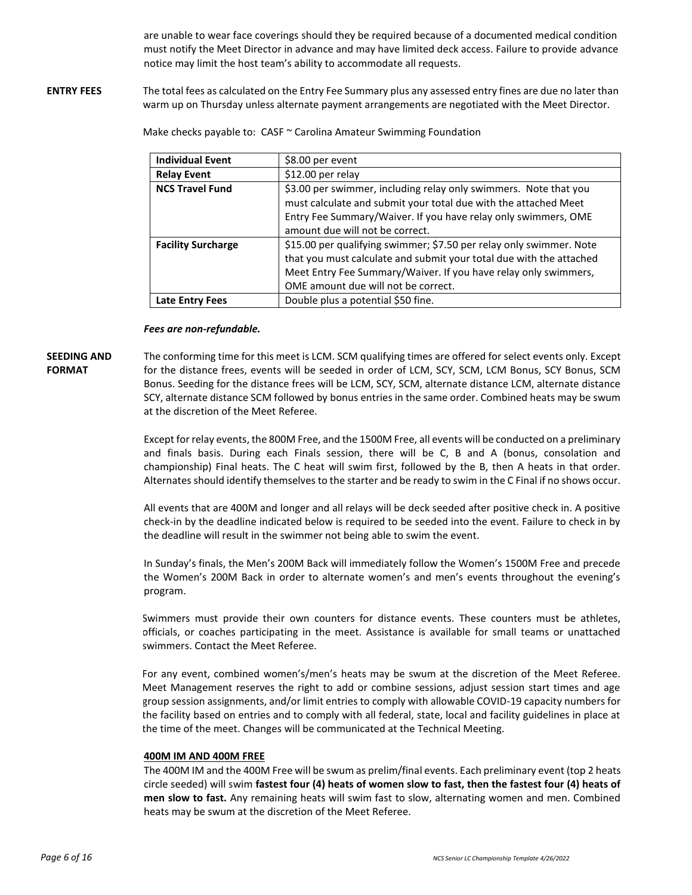are unable to wear face coverings should they be required because of a documented medical condition must notify the Meet Director in advance and may have limited deck access. Failure to provide advance notice may limit the host team's ability to accommodate all requests.

**ENTRY FEES** The total fees as calculated on the Entry Fee Summary plus any assessed entry fines are due no later than warm up on Thursday unless alternate payment arrangements are negotiated with the Meet Director.

Make checks payable to: CASF ~ Carolina Amateur Swimming Foundation

| <b>Individual Event</b>   | \$8.00 per event                                                                                                                                                                                                                                     |
|---------------------------|------------------------------------------------------------------------------------------------------------------------------------------------------------------------------------------------------------------------------------------------------|
| <b>Relay Event</b>        | \$12.00 per relay                                                                                                                                                                                                                                    |
| <b>NCS Travel Fund</b>    | \$3.00 per swimmer, including relay only swimmers. Note that you<br>must calculate and submit your total due with the attached Meet<br>Entry Fee Summary/Waiver. If you have relay only swimmers, OME<br>amount due will not be correct.             |
| <b>Facility Surcharge</b> | \$15.00 per qualifying swimmer; \$7.50 per relay only swimmer. Note<br>that you must calculate and submit your total due with the attached<br>Meet Entry Fee Summary/Waiver. If you have relay only swimmers,<br>OME amount due will not be correct. |
| Late Entry Fees           | Double plus a potential \$50 fine.                                                                                                                                                                                                                   |

#### *Fees are non-refundable.*

#### **SEEDING AND FORMAT**

The conforming time for this meet is LCM. SCM qualifying times are offered for select events only. Except for the distance frees, events will be seeded in order of LCM, SCY, SCM, LCM Bonus, SCY Bonus, SCM Bonus. Seeding for the distance frees will be LCM, SCY, SCM, alternate distance LCM, alternate distance SCY, alternate distance SCM followed by bonus entries in the same order. Combined heats may be swum at the discretion of the Meet Referee.

Except for relay events, the 800M Free, and the 1500M Free, all events will be conducted on a preliminary and finals basis. During each Finals session, there will be C, B and A (bonus, consolation and championship) Final heats. The C heat will swim first, followed by the B, then A heats in that order. Alternates should identify themselves to the starter and be ready to swim in the C Final if no shows occur.

All events that are 400M and longer and all relays will be deck seeded after positive check in. A positive check-in by the deadline indicated below is required to be seeded into the event. Failure to check in by the deadline will result in the swimmer not being able to swim the event.

In Sunday's finals, the Men's 200M Back will immediately follow the Women's 1500M Free and precede the Women's 200M Back in order to alternate women's and men's events throughout the evening's program.

Swimmers must provide their own counters for distance events. These counters must be athletes, officials, or coaches participating in the meet. Assistance is available for small teams or unattached swimmers. Contact the Meet Referee.

For any event, combined women's/men's heats may be swum at the discretion of the Meet Referee. Meet Management reserves the right to add or combine sessions, adjust session start times and age group session assignments, and/or limit entries to comply with allowable COVID-19 capacity numbers for the facility based on entries and to comply with all federal, state, local and facility guidelines in place at the time of the meet. Changes will be communicated at the Technical Meeting.

#### **400M IM AND 400M FREE**

The 400M IM and the 400M Free will be swum as prelim/final events. Each preliminary event (top 2 heats circle seeded) will swim **fastest four (4) heats of women slow to fast, then the fastest four (4) heats of men slow to fast.** Any remaining heats will swim fast to slow, alternating women and men. Combined heats may be swum at the discretion of the Meet Referee.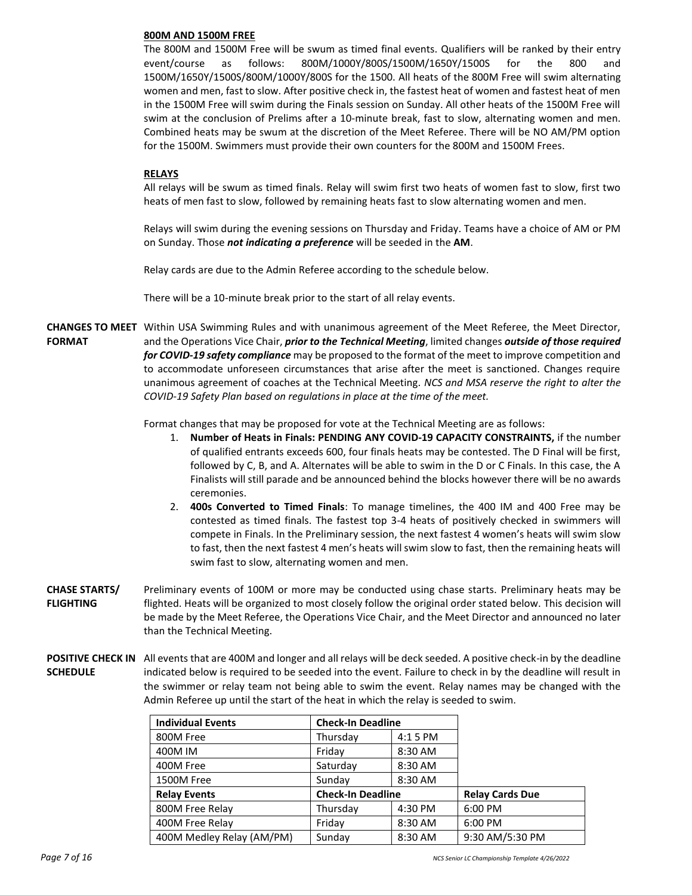#### **800M AND 1500M FREE**

The 800M and 1500M Free will be swum as timed final events. Qualifiers will be ranked by their entry event/course as follows: 800M/1000Y/800S/1500M/1650Y/1500S for the 800 and 1500M/1650Y/1500S/800M/1000Y/800S for the 1500. All heats of the 800M Free will swim alternating women and men, fast to slow. After positive check in, the fastest heat of women and fastest heat of men in the 1500M Free will swim during the Finals session on Sunday. All other heats of the 1500M Free will swim at the conclusion of Prelims after a 10-minute break, fast to slow, alternating women and men. Combined heats may be swum at the discretion of the Meet Referee. There will be NO AM/PM option for the 1500M. Swimmers must provide their own counters for the 800M and 1500M Frees.

#### **RELAYS**

All relays will be swum as timed finals. Relay will swim first two heats of women fast to slow, first two heats of men fast to slow, followed by remaining heats fast to slow alternating women and men.

Relays will swim during the evening sessions on Thursday and Friday. Teams have a choice of AM or PM on Sunday. Those *not indicating a preference* will be seeded in the **AM**.

Relay cards are due to the Admin Referee according to the schedule below.

There will be a 10-minute break prior to the start of all relay events.

**CHANGES TO MEET**  Within USA Swimming Rules and with unanimous agreement of the Meet Referee, the Meet Director, **FORMAT**  and the Operations Vice Chair, *prior to the Technical Meeting*, limited changes *outside of those required for COVID-19 safety compliance* may be proposed to the format of the meet to improve competition and to accommodate unforeseen circumstances that arise after the meet is sanctioned. Changes require unanimous agreement of coaches at the Technical Meeting. *NCS and MSA reserve the right to alter the COVID-19 Safety Plan based on regulations in place at the time of the meet.*

Format changes that may be proposed for vote at the Technical Meeting are as follows:

- 1. **Number of Heats in Finals: PENDING ANY COVID-19 CAPACITY CONSTRAINTS,** if the number of qualified entrants exceeds 600, four finals heats may be contested. The D Final will be first, followed by C, B, and A. Alternates will be able to swim in the D or C Finals. In this case, the A Finalists will still parade and be announced behind the blocks however there will be no awards ceremonies.
- 2. **400s Converted to Timed Finals**: To manage timelines, the 400 IM and 400 Free may be contested as timed finals. The fastest top 3-4 heats of positively checked in swimmers will compete in Finals. In the Preliminary session, the next fastest 4 women's heats will swim slow to fast, then the next fastest 4 men's heats will swim slow to fast, then the remaining heats will swim fast to slow, alternating women and men.
- **CHASE STARTS/ FLIGHTING** Preliminary events of 100M or more may be conducted using chase starts. Preliminary heats may be flighted. Heats will be organized to most closely follow the original order stated below. This decision will be made by the Meet Referee, the Operations Vice Chair, and the Meet Director and announced no later than the Technical Meeting.
- POSITIVE CHECK IN All events that are 400M and longer and all relays will be deck seeded. A positive check-in by the deadline **SCHEDULE** indicated below is required to be seeded into the event. Failure to check in by the deadline will result in the swimmer or relay team not being able to swim the event. Relay names may be changed with the Admin Referee up until the start of the heat in which the relay is seeded to swim.

| <b>Individual Events</b>  | <b>Check-In Deadline</b> |           |                        |
|---------------------------|--------------------------|-----------|------------------------|
| 800M Free                 | Thursday                 | $4:15$ PM |                        |
| 400M IM                   | Friday                   | 8:30 AM   |                        |
| 400M Free                 | Saturday                 | 8:30 AM   |                        |
| 1500M Free                | 8:30 AM<br>Sunday        |           |                        |
| <b>Relay Events</b>       | <b>Check-In Deadline</b> |           | <b>Relay Cards Due</b> |
| 800M Free Relay           | Thursday                 | 4:30 PM   | 6:00 PM                |
| 400M Free Relay           | Friday                   | 8:30 AM   | 6:00 PM                |
| 400M Medley Relay (AM/PM) | Sunday                   | 8:30 AM   | 9:30 AM/5:30 PM        |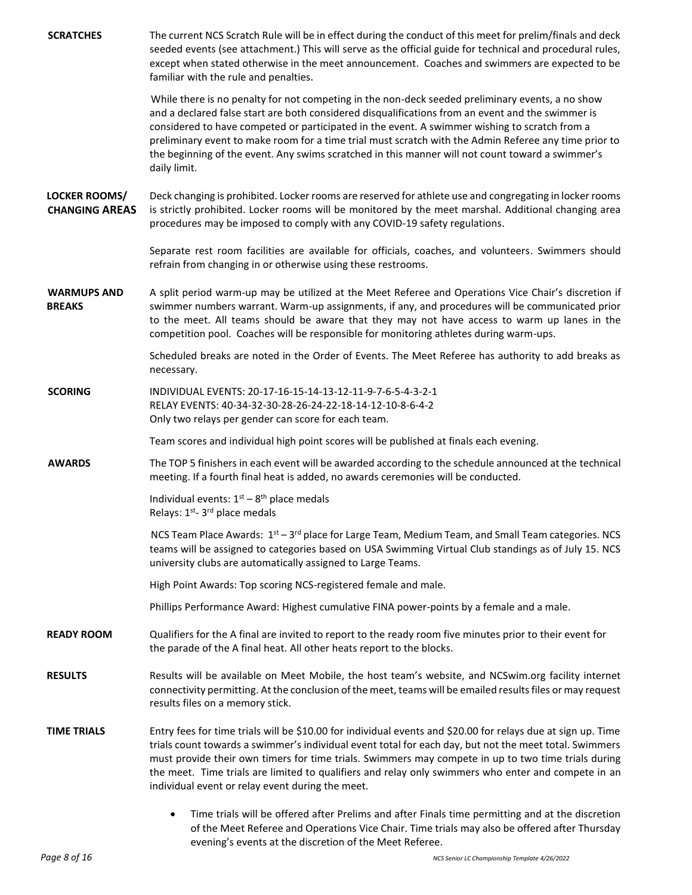| <b>SCRATCHES</b>                              | The current NCS Scratch Rule will be in effect during the conduct of this meet for prelim/finals and deck<br>seeded events (see attachment.) This will serve as the official guide for technical and procedural rules,<br>except when stated otherwise in the meet announcement. Coaches and swimmers are expected to be<br>familiar with the rule and penalties.                                                                                                                                                                   |
|-----------------------------------------------|-------------------------------------------------------------------------------------------------------------------------------------------------------------------------------------------------------------------------------------------------------------------------------------------------------------------------------------------------------------------------------------------------------------------------------------------------------------------------------------------------------------------------------------|
|                                               | While there is no penalty for not competing in the non-deck seeded preliminary events, a no show<br>and a declared false start are both considered disqualifications from an event and the swimmer is<br>considered to have competed or participated in the event. A swimmer wishing to scratch from a<br>preliminary event to make room for a time trial must scratch with the Admin Referee any time prior to<br>the beginning of the event. Any swims scratched in this manner will not count toward a swimmer's<br>daily limit. |
| <b>LOCKER ROOMS/</b><br><b>CHANGING AREAS</b> | Deck changing is prohibited. Locker rooms are reserved for athlete use and congregating in locker rooms<br>is strictly prohibited. Locker rooms will be monitored by the meet marshal. Additional changing area<br>procedures may be imposed to comply with any COVID-19 safety regulations.                                                                                                                                                                                                                                        |
|                                               | Separate rest room facilities are available for officials, coaches, and volunteers. Swimmers should<br>refrain from changing in or otherwise using these restrooms.                                                                                                                                                                                                                                                                                                                                                                 |
| <b>WARMUPS AND</b><br><b>BREAKS</b>           | A split period warm-up may be utilized at the Meet Referee and Operations Vice Chair's discretion if<br>swimmer numbers warrant. Warm-up assignments, if any, and procedures will be communicated prior<br>to the meet. All teams should be aware that they may not have access to warm up lanes in the<br>competition pool. Coaches will be responsible for monitoring athletes during warm-ups.                                                                                                                                   |
|                                               | Scheduled breaks are noted in the Order of Events. The Meet Referee has authority to add breaks as<br>necessary.                                                                                                                                                                                                                                                                                                                                                                                                                    |
| <b>SCORING</b>                                | INDIVIDUAL EVENTS: 20-17-16-15-14-13-12-11-9-7-6-5-4-3-2-1<br>RELAY EVENTS: 40-34-32-30-28-26-24-22-18-14-12-10-8-6-4-2<br>Only two relays per gender can score for each team.                                                                                                                                                                                                                                                                                                                                                      |
|                                               | Team scores and individual high point scores will be published at finals each evening.                                                                                                                                                                                                                                                                                                                                                                                                                                              |
| <b>AWARDS</b>                                 | The TOP 5 finishers in each event will be awarded according to the schedule announced at the technical<br>meeting. If a fourth final heat is added, no awards ceremonies will be conducted.                                                                                                                                                                                                                                                                                                                                         |
|                                               | Individual events: $1st - 8th$ place medals<br>Relays: 1 <sup>st</sup> -3 <sup>rd</sup> place medals                                                                                                                                                                                                                                                                                                                                                                                                                                |
|                                               | NCS Team Place Awards: $1st - 3rd$ place for Large Team, Medium Team, and Small Team categories. NCS<br>teams will be assigned to categories based on USA Swimming Virtual Club standings as of July 15. NCS<br>university clubs are automatically assigned to Large Teams.                                                                                                                                                                                                                                                         |
|                                               | High Point Awards: Top scoring NCS-registered female and male.                                                                                                                                                                                                                                                                                                                                                                                                                                                                      |
|                                               | Phillips Performance Award: Highest cumulative FINA power-points by a female and a male.                                                                                                                                                                                                                                                                                                                                                                                                                                            |
| <b>READY ROOM</b>                             | Qualifiers for the A final are invited to report to the ready room five minutes prior to their event for<br>the parade of the A final heat. All other heats report to the blocks.                                                                                                                                                                                                                                                                                                                                                   |
| <b>RESULTS</b>                                | Results will be available on Meet Mobile, the host team's website, and NCSwim.org facility internet<br>connectivity permitting. At the conclusion of the meet, teams will be emailed results files or may request<br>results files on a memory stick.                                                                                                                                                                                                                                                                               |
| <b>TIME TRIALS</b>                            | Entry fees for time trials will be \$10.00 for individual events and \$20.00 for relays due at sign up. Time<br>trials count towards a swimmer's individual event total for each day, but not the meet total. Swimmers<br>must provide their own timers for time trials. Swimmers may compete in up to two time trials during<br>the meet. Time trials are limited to qualifiers and relay only swimmers who enter and compete in an<br>individual event or relay event during the meet.                                            |
|                                               | Time trials will be offered after Prelims and after Finals time permitting and at the discretion<br>of the Meet Referee and Operations Vice Chair. Time trials may also be offered after Thursday                                                                                                                                                                                                                                                                                                                                   |

evening's events at the discretion of the Meet Referee.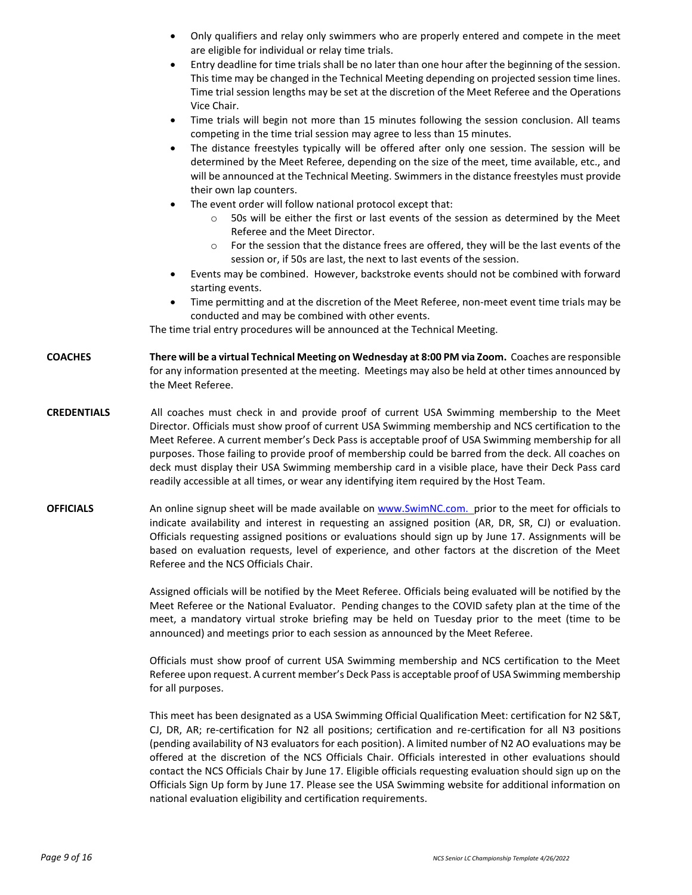|                    | Only qualifiers and relay only swimmers who are properly entered and compete in the meet<br>٠<br>are eligible for individual or relay time trials.<br>Entry deadline for time trials shall be no later than one hour after the beginning of the session.<br>$\bullet$<br>This time may be changed in the Technical Meeting depending on projected session time lines.<br>Time trial session lengths may be set at the discretion of the Meet Referee and the Operations<br>Vice Chair.                                                                                                                                                                                                                                                                                                                                                                                                                                                                                                                                                                                                                                        |
|--------------------|-------------------------------------------------------------------------------------------------------------------------------------------------------------------------------------------------------------------------------------------------------------------------------------------------------------------------------------------------------------------------------------------------------------------------------------------------------------------------------------------------------------------------------------------------------------------------------------------------------------------------------------------------------------------------------------------------------------------------------------------------------------------------------------------------------------------------------------------------------------------------------------------------------------------------------------------------------------------------------------------------------------------------------------------------------------------------------------------------------------------------------|
|                    | Time trials will begin not more than 15 minutes following the session conclusion. All teams<br>٠<br>competing in the time trial session may agree to less than 15 minutes.<br>The distance freestyles typically will be offered after only one session. The session will be<br>٠<br>determined by the Meet Referee, depending on the size of the meet, time available, etc., and<br>will be announced at the Technical Meeting. Swimmers in the distance freestyles must provide<br>their own lap counters.<br>The event order will follow national protocol except that:<br>٠<br>50s will be either the first or last events of the session as determined by the Meet<br>$\circ$<br>Referee and the Meet Director.<br>For the session that the distance frees are offered, they will be the last events of the<br>$\circ$<br>session or, if 50s are last, the next to last events of the session.<br>Events may be combined. However, backstroke events should not be combined with forward<br>$\bullet$<br>starting events.<br>Time permitting and at the discretion of the Meet Referee, non-meet event time trials may be |
|                    | conducted and may be combined with other events.<br>The time trial entry procedures will be announced at the Technical Meeting.                                                                                                                                                                                                                                                                                                                                                                                                                                                                                                                                                                                                                                                                                                                                                                                                                                                                                                                                                                                               |
| <b>COACHES</b>     | There will be a virtual Technical Meeting on Wednesday at 8:00 PM via Zoom. Coaches are responsible<br>for any information presented at the meeting. Meetings may also be held at other times announced by<br>the Meet Referee.                                                                                                                                                                                                                                                                                                                                                                                                                                                                                                                                                                                                                                                                                                                                                                                                                                                                                               |
| <b>CREDENTIALS</b> | All coaches must check in and provide proof of current USA Swimming membership to the Meet<br>Director. Officials must show proof of current USA Swimming membership and NCS certification to the<br>Meet Referee. A current member's Deck Pass is acceptable proof of USA Swimming membership for all<br>purposes. Those failing to provide proof of membership could be barred from the deck. All coaches on<br>deck must display their USA Swimming membership card in a visible place, have their Deck Pass card<br>readily accessible at all times, or wear any identifying item required by the Host Team.                                                                                                                                                                                                                                                                                                                                                                                                                                                                                                              |
| <b>OFFICIALS</b>   | An online signup sheet will be made available on www.SwimNC.com. prior to the meet for officials to<br>indicate availability and interest in requesting an assigned position (AR, DR, SR, CJ) or evaluation.<br>Officials requesting assigned positions or evaluations should sign up by June 17. Assignments will be<br>based on evaluation requests, level of experience, and other factors at the discretion of the Meet<br>Referee and the NCS Officials Chair.                                                                                                                                                                                                                                                                                                                                                                                                                                                                                                                                                                                                                                                           |
|                    | Assigned officials will be notified by the Meet Referee. Officials being evaluated will be notified by the<br>Meet Referee or the National Evaluator. Pending changes to the COVID safety plan at the time of the<br>meet, a mandatory virtual stroke briefing may be held on Tuesday prior to the meet (time to be<br>announced) and meetings prior to each session as announced by the Meet Referee.                                                                                                                                                                                                                                                                                                                                                                                                                                                                                                                                                                                                                                                                                                                        |
|                    | Officials must show proof of current USA Swimming membership and NCS certification to the Meet<br>Referee upon request. A current member's Deck Pass is acceptable proof of USA Swimming membership<br>for all purposes.                                                                                                                                                                                                                                                                                                                                                                                                                                                                                                                                                                                                                                                                                                                                                                                                                                                                                                      |
|                    | This meet has been designated as a USA Swimming Official Qualification Meet: certification for N2 S&T,<br>CJ, DR, AR; re-certification for N2 all positions; certification and re-certification for all N3 positions<br>(pending availability of N3 evaluators for each position). A limited number of N2 AO evaluations may be<br>offered at the discretion of the NCS Officials Chair. Officials interested in other evaluations should<br>contact the NCS Officials Chair by June 17. Eligible officials requesting evaluation should sign up on the<br>Officials Sign Up form by June 17. Please see the USA Swimming website for additional information on<br>national evaluation eligibility and certification requirements.                                                                                                                                                                                                                                                                                                                                                                                            |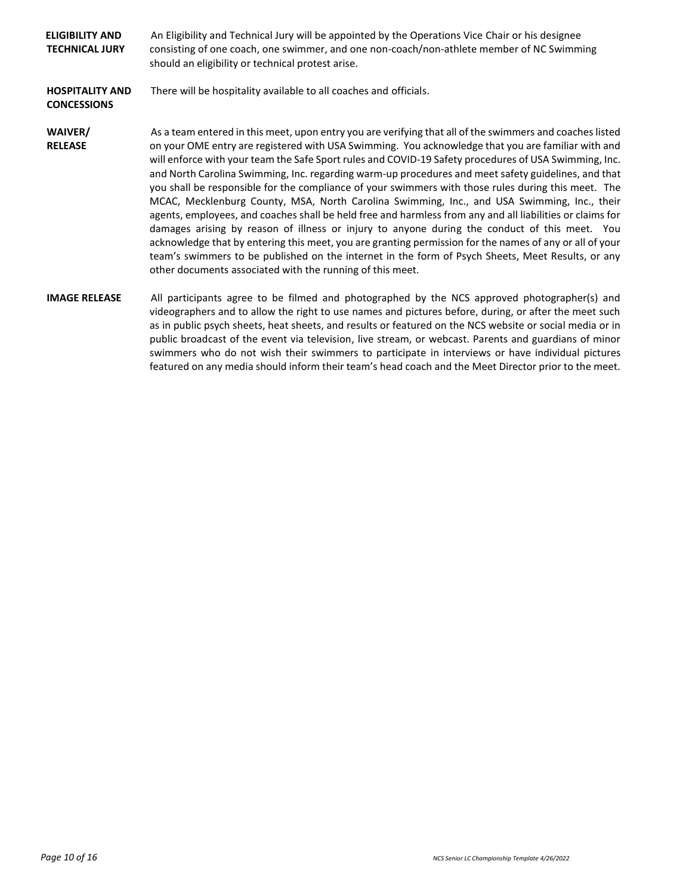| <b>ELIGIBILITY AND</b><br><b>TECHNICAL JURY</b> | An Eligibility and Technical Jury will be appointed by the Operations Vice Chair or his designee<br>consisting of one coach, one swimmer, and one non-coach/non-athlete member of NC Swimming<br>should an eligibility or technical protest arise.                                                                                                                                                                                                                                                                                                                                                                                                                                                                                                                                                                                                                                                                                                                                                                                                                                                                              |
|-------------------------------------------------|---------------------------------------------------------------------------------------------------------------------------------------------------------------------------------------------------------------------------------------------------------------------------------------------------------------------------------------------------------------------------------------------------------------------------------------------------------------------------------------------------------------------------------------------------------------------------------------------------------------------------------------------------------------------------------------------------------------------------------------------------------------------------------------------------------------------------------------------------------------------------------------------------------------------------------------------------------------------------------------------------------------------------------------------------------------------------------------------------------------------------------|
| <b>HOSPITALITY AND</b><br><b>CONCESSIONS</b>    | There will be hospitality available to all coaches and officials.                                                                                                                                                                                                                                                                                                                                                                                                                                                                                                                                                                                                                                                                                                                                                                                                                                                                                                                                                                                                                                                               |
| WAIVER/<br><b>RELEASE</b>                       | As a team entered in this meet, upon entry you are verifying that all of the swimmers and coaches listed<br>on your OME entry are registered with USA Swimming. You acknowledge that you are familiar with and<br>will enforce with your team the Safe Sport rules and COVID-19 Safety procedures of USA Swimming, Inc.<br>and North Carolina Swimming, Inc. regarding warm-up procedures and meet safety guidelines, and that<br>you shall be responsible for the compliance of your swimmers with those rules during this meet. The<br>MCAC, Mecklenburg County, MSA, North Carolina Swimming, Inc., and USA Swimming, Inc., their<br>agents, employees, and coaches shall be held free and harmless from any and all liabilities or claims for<br>damages arising by reason of illness or injury to anyone during the conduct of this meet. You<br>acknowledge that by entering this meet, you are granting permission for the names of any or all of your<br>team's swimmers to be published on the internet in the form of Psych Sheets, Meet Results, or any<br>other documents associated with the running of this meet. |
| <b>IMAGE RELEASE</b>                            | All participants agree to be filmed and photographed by the NCS approved photographer(s) and<br>videographers and to allow the right to use names and pictures before, during, or after the meet such<br>as in public psych sheets, heat sheets, and results or featured on the NCS website or social media or in<br>public broadcast of the event via television, live stream, or webcast. Parents and guardians of minor                                                                                                                                                                                                                                                                                                                                                                                                                                                                                                                                                                                                                                                                                                      |

swimmers who do not wish their swimmers to participate in interviews or have individual pictures featured on any media should inform their team's head coach and the Meet Director prior to the meet.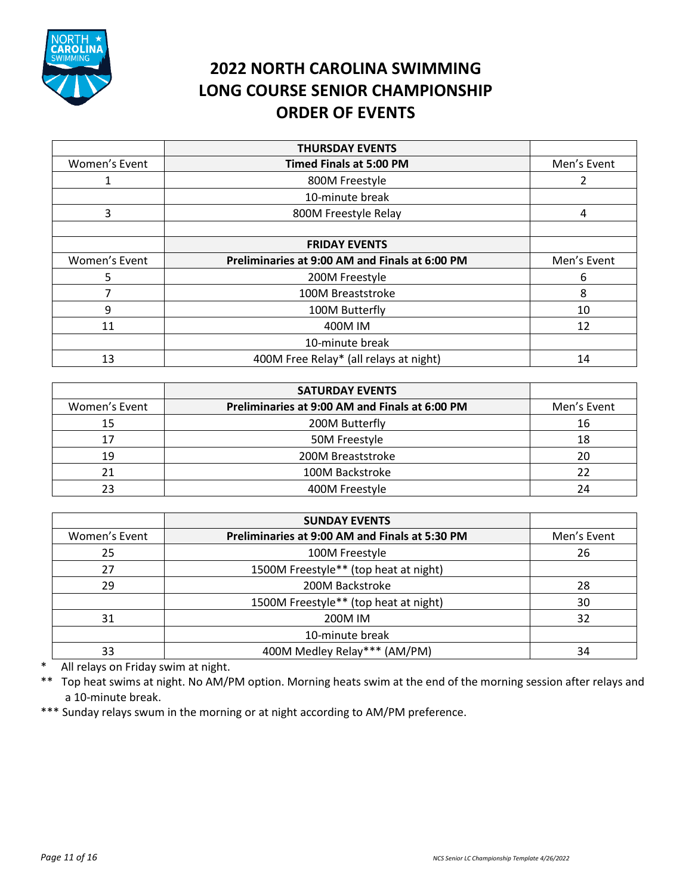

# **2022 NORTH CAROLINA SWIMMING LONG COURSE SENIOR CHAMPIONSHIP ORDER OF EVENTS**

|               | <b>THURSDAY EVENTS</b>                         |             |
|---------------|------------------------------------------------|-------------|
| Women's Event | <b>Timed Finals at 5:00 PM</b>                 | Men's Event |
|               | 800M Freestyle                                 |             |
|               | 10-minute break                                |             |
| 3             | 800M Freestyle Relay                           | 4           |
|               |                                                |             |
|               | <b>FRIDAY EVENTS</b>                           |             |
| Women's Event | Preliminaries at 9:00 AM and Finals at 6:00 PM | Men's Event |
|               | 200M Freestyle                                 |             |
|               |                                                | 6           |
| 7             | 100M Breaststroke                              | 8           |
| 9             | 100M Butterfly                                 | 10          |
| 11            | 400M IM                                        | 12          |
|               | 10-minute break                                |             |

|               | <b>SATURDAY EVENTS</b>                         |             |
|---------------|------------------------------------------------|-------------|
| Women's Event | Preliminaries at 9:00 AM and Finals at 6:00 PM | Men's Event |
| 15            | 200M Butterfly                                 | 16          |
| 17            | 50M Freestyle                                  | 18          |
| 19            | 200M Breaststroke                              | 20          |
|               | 100M Backstroke                                | 22          |
|               | 400M Freestyle                                 | 24          |

|               | <b>SUNDAY EVENTS</b>                           |             |
|---------------|------------------------------------------------|-------------|
| Women's Event | Preliminaries at 9:00 AM and Finals at 5:30 PM | Men's Event |
| 25            | 100M Freestyle                                 | 26          |
| 27            | 1500M Freestyle** (top heat at night)          |             |
| 29            | 200M Backstroke                                | 28          |
|               | 1500M Freestyle** (top heat at night)          | 30          |
| 31            | 200M IM                                        | 32          |
|               | 10-minute break                                |             |
| 33            | 400M Medley Relay*** (AM/PM)                   | 34          |

\* All relays on Friday swim at night.

\*\* Top heat swims at night. No AM/PM option. Morning heats swim at the end of the morning session after relays and a 10-minute break.

\*\*\* Sunday relays swum in the morning or at night according to AM/PM preference.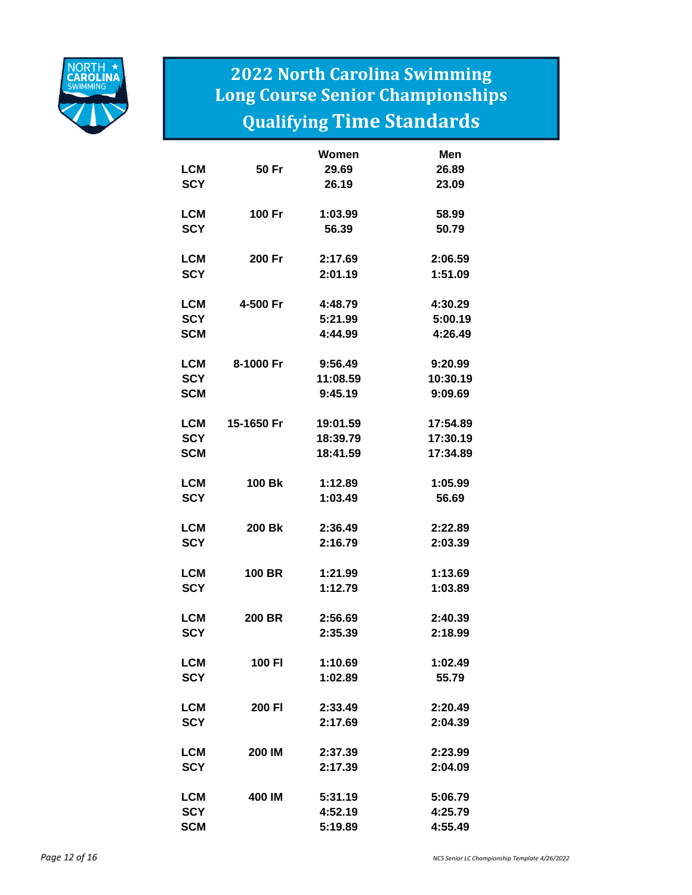

# **2022 North Carolina Swimming Long Course Senior Championships Qualifying Time Standards**

|            |               | <b>Women</b> | Men      |
|------------|---------------|--------------|----------|
| LCM        | 50 Fr         | 29.69        | 26.89    |
| <b>SCY</b> |               | 26.19        | 23.09    |
| LCM        | 100 Fr        | 1:03.99      | 58.99    |
| <b>SCY</b> |               | 56.39        | 50.79    |
| LCM        | 200 Fr        | 2:17.69      | 2:06.59  |
| <b>SCY</b> |               | 2:01.19      | 1:51.09  |
| LCM        | 4-500 Fr      | 4:48.79      | 4:30.29  |
| <b>SCY</b> |               | 5:21.99      | 5:00.19  |
| SCM        |               | 4:44.99      | 4:26.49  |
| LCM        | 8-1000 Fr     | 9:56.49      | 9:20.99  |
| <b>SCY</b> |               | 11:08.59     | 10:30.19 |
| <b>SCM</b> |               | 9:45.19      | 9:09.69  |
| LCM        | 15-1650 Fr    | 19:01.59     | 17:54.89 |
| <b>SCY</b> |               | 18:39.79     | 17:30.19 |
| <b>SCM</b> |               | 18:41.59     | 17:34.89 |
| LCM        | <b>100 Bk</b> | 1:12.89      | 1:05.99  |
| <b>SCY</b> |               | 1:03.49      | 56.69    |
| LCM        | 200 Bk        | 2:36.49      | 2:22.89  |
| <b>SCY</b> |               | 2:16.79      | 2:03.39  |
| <b>LCM</b> | <b>100 BR</b> | 1:21.99      | 1:13.69  |
| <b>SCY</b> |               | 1:12.79      | 1:03.89  |
| <b>LCM</b> | <b>200 BR</b> | 2:56.69      | 2:40.39  |
| <b>SCY</b> |               | 2:35.39      | 2:18.99  |
| LCM        | 100 FI        | 1:10.69      | 1:02.49  |
| <b>SCY</b> |               | 1:02.89      | 55.79    |
| LCM        | 200 FI        | 2:33.49      | 2:20.49  |
| <b>SCY</b> |               | 2:17.69      | 2:04.39  |
| LCM        | 200 IM        | 2:37.39      | 2:23.99  |
| <b>SCY</b> |               | 2:17.39      | 2:04.09  |
| LCM        | 400 IM        | 5:31.19      | 5:06.79  |
| <b>SCY</b> |               | 4:52.19      | 4:25.79  |
| SCM        |               | 5:19.89      | 4:55.49  |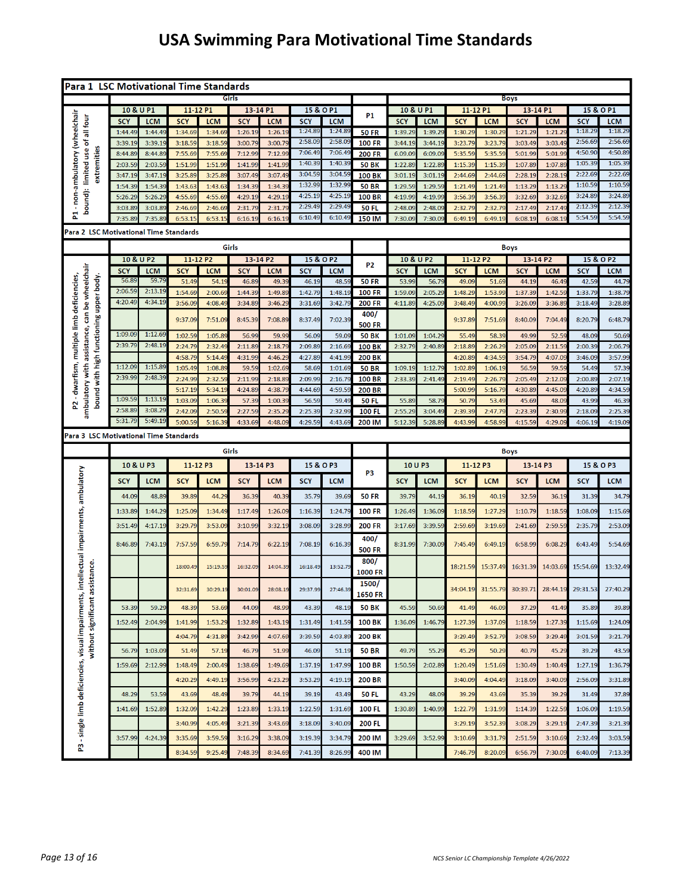# **USA Swimming Para Motivational Time Standards**

| Para 1 LSC Motivational Time Standards                                                                                              |                    |                    |                    |                   |                    |                   |                    |                    |                               |                    |                    |                    |                   |                    |                    |                    |                       |  |
|-------------------------------------------------------------------------------------------------------------------------------------|--------------------|--------------------|--------------------|-------------------|--------------------|-------------------|--------------------|--------------------|-------------------------------|--------------------|--------------------|--------------------|-------------------|--------------------|--------------------|--------------------|-----------------------|--|
|                                                                                                                                     |                    |                    |                    |                   | Girls              |                   |                    |                    |                               | <b>Boys</b>        |                    |                    |                   |                    |                    |                    |                       |  |
|                                                                                                                                     | 10 & U P1          |                    | 11-12 P1           |                   | 13-14 P1           |                   | 15 & O P1          |                    | <b>P1</b>                     | 10 & U P1          |                    | 11-12 P1           |                   | 13-14 P1           |                    | 15 & O P1          |                       |  |
| - non-ambulatory (wheelchair<br>bound): limited use of all four                                                                     | <b>SCY</b>         | <b>LCM</b>         | <b>SCY</b>         | <b>LCM</b>        | <b>SCY</b>         | <b>LCM</b>        | <b>SCY</b>         | <b>LCM</b>         |                               | <b>SCY</b>         | <b>LCM</b>         | <b>SCY</b>         | <b>LCM</b>        | <b>SCY</b>         | <b>LCM</b>         | <b>SCY</b>         | <b>LCM</b><br>1:18.29 |  |
|                                                                                                                                     | 1:44.49            | 1:44.4             | 1:34.69            | 1:34.6            | 1:26.1             | 1:26.1            | 1:24.89<br>2:58.09 | 1:24.89<br>2:58.09 | <b>50 FR</b>                  | 1:39.29            | 1:39.2             | 1:30.2             | 1:30.2            | 1:21.29            | 1:21.2             | 1:18.29<br>2:56.69 | 2:56.69               |  |
|                                                                                                                                     | 3:39.19<br>8:44.89 | 3:39.19<br>8:44.89 | 3:18.59<br>7:55.69 | 3:18.59<br>7:55.6 | 3:00.79<br>7:12.99 | 3:00.79<br>7:12.9 | 7:06.49            | 7:06.49            | <b>100 FR</b>                 | 3:44.19<br>6.09.09 | 3:44.19<br>6:09.0  | 3:23.79<br>5:35.59 | 3:23.7<br>5:35.5  | 3:03.49<br>5:01.99 | 3:03.49<br>5:01.99 | 4:50.90            | 4:50.89               |  |
| extremities                                                                                                                         | 2:03.59            | 2:03.59            | 1:51.99            | 1:51.99           | 1:41.99            | 1:41.99           | 1:40.39            | 1:40.39            | <b>200 FR</b><br><b>50 BK</b> | 1:22.89            | 1:22.8             | 1:15.39            | 1:15.39           | 1:07.89            | 1:07.89            | 1:05.39            | 1:05.39               |  |
|                                                                                                                                     | 3:47.19            | 3:47.19            | 3:25.89            | 3:25.89           | 3:07.49            | 3:07.4            | 3:04.59            | 3:04.59            | <b>100 BK</b>                 | 3:01.19            | 3:01.19            | 2:44.69            | 2:44.6            | 2:28.19            | 2:28.1             | 2:22.69            | 2:22.69               |  |
|                                                                                                                                     | 1:54.39            | 1:54.3             | 1:43.63            | 1:43.6            | 1:34.3             | 1:34.3            | 1:32.99            | 1:32.99            | <b>50 BR</b>                  | 1:29.59            | 1:29.5             | 1:21.49            | 1:21.4            | 1:13.29            | 1:13.2             | 1:10.59            | 1:10.59               |  |
|                                                                                                                                     | 5:26.29            | 5:26.29            | 4:55.69            | 4:55.6            | 4:29.19            | 4:29.1            | 4:25.19            | 4:25.1             | <b>100 BR</b>                 | 4:19.99            | 4:19.9             | 3:56.39            | 3:56.3            | 3:32.69            | 3:32.6             | 3:24.89            | 3:24.89               |  |
|                                                                                                                                     | 3:03.89            | 3:03.89            | 2:46.69            | 2:46.6            | 2:31.7             | 2:31.7            | 2:29.49            | 2:29.49            | <b>50 FL</b>                  | 2:48.09            | 2:48.0             | 2:32.79            | 2:32.7            | 2:17.49            | 2:17.49            | 2:12.39            | 2:12.39               |  |
| 뉪                                                                                                                                   | 7:35.89            | 7:35.8             | 6:53.15            | 6:53.1            | 6:16.1             | 6:16.1            | 6:10.49            | 6:10.49            | 150 IM                        | 7:30.09            | 7:30.0             | 6:49.19            | 6:49.1            | 6:08.19            | 6:08.1             | 5:54.59            | 5:54.59               |  |
| Para 2  LSC Motivational Time Standards                                                                                             |                    |                    |                    |                   |                    |                   |                    |                    |                               |                    |                    |                    |                   |                    |                    |                    |                       |  |
|                                                                                                                                     |                    |                    |                    |                   | Girls              |                   |                    |                    |                               |                    |                    |                    |                   | <b>Boys</b>        |                    |                    |                       |  |
|                                                                                                                                     | 10 & U P2          |                    | 11-12 P2           |                   | 13-14 P2           |                   | 15 & O P2          |                    |                               | 10 & U P2          |                    | 11-12 P2           |                   | 13-14 P2           |                    |                    | 15 & O P2             |  |
|                                                                                                                                     | <b>SCY</b>         | <b>LCM</b>         | <b>SCY</b>         | <b>LCM</b>        | <b>SCY</b>         | <b>LCM</b>        | <b>SCY</b>         | <b>LCM</b>         | <b>P2</b>                     | <b>SCY</b>         | <b>LCM</b>         | <b>SCY</b>         | <b>LCM</b>        | <b>SCY</b>         | <b>LCM</b>         | <b>SCY</b>         | <b>LCM</b>            |  |
|                                                                                                                                     | 56.89              | 59.79              | 51.49              | 54.1              | 46.89              | 49.3              | 46.19              | 48.59              | <b>50 FR</b>                  | 53.99              | 56.7               | 49.09              | 51.69             | 44.19              | 46.49              | 42.59              | 44.7                  |  |
|                                                                                                                                     | 2:06.59            | 2:13.1             | 1:54.69            | 2:00.6            | 1:44.39            | 1:49.8            | 1:42.79            | 1:48.19            | <b>100 FR</b>                 | 1:59.09            | 2:05.29            | 1:48.2             | 1:53.99           | 1:37.39            | 1:42.5             | 1:33.79            | 1:38.79               |  |
| ambulatory with assistance, can be wheelchair<br>bound with high functioning upper body.<br>- dwarfism, multiple limb deficiencies, | 4:20.49            | 4:34.19            | 3:56.09            | 4:08.4            | 3:34.89            | 3:46.2            | 3:31.69            | 3:42.79            | <b>200 FR</b>                 | 4:11.89            | 4:25.0             | 3:48.49            | 4:00.9            | 3:26.09            | 3:36.89            | 3:18.49            | 3:28.89               |  |
|                                                                                                                                     |                    |                    | 9:37.09            | 7:51.09           | 8:45.39            | 7:08.89           | 8:37.49            | 7:02.39            | 400/                          |                    |                    | 9:37.89            | 7:51.69           | 8:40.09            | 7:04.49            | 8:20.79            | 6:48.79               |  |
|                                                                                                                                     |                    |                    |                    |                   |                    |                   |                    |                    | <b>500 FR</b>                 |                    |                    |                    |                   |                    |                    |                    |                       |  |
|                                                                                                                                     | 1:09.09            | 1:12.69            | 1:02.59            | 1:05.8            | 56.9               | 59.9              | 56.09              | 59.0               | <b>50 BK</b>                  | 1:01.09            | 1:04.29            | 55.49              | 58.3              | 49.99              | 52.5               | 48.09              | 50.69                 |  |
|                                                                                                                                     | 2:39.79            | 2:48.19            | 2:24.79            | 2:32.4            | 2:11.89            | 2:18.79           | 2:09.89            | 2:16.69            | <b>100 BK</b>                 | 2:32.79            | 2:40.8             | 2:18.89            | 2:26.29           | 2:05.09            | 2:11.59            | 2:00.39            | 2:06.79               |  |
|                                                                                                                                     | 1:12.09            | 1:15.89            | 4:58.79            | 5:14.4            | 4:31.99            | 4:46.2            | 4:27.89            | 4:41.99            | <b>200 BK</b>                 |                    |                    | 4:20.8             | 4:34.5            | 3:54.79            | 4:07.0             | 3:46.09            | 3:57.99               |  |
|                                                                                                                                     | 2:39.99            | 2:48.39            | 1:05.49<br>2:24.99 | 1:08.89<br>2:32.5 | 59.59<br>2:11.9    | 1:02.69<br>2:18.8 | 58.69<br>2:09.99   | 1:01.69<br>2:16.79 | <b>50 BR</b><br><b>100 BR</b> | 1:09.19<br>2:33.39 | 1:12.79<br>2:41.49 | 1:02.89<br>2:19.49 | 1:06.19<br>2:26.7 | 56.59<br>2:05.49   | 59.59<br>2:12.0    | 54.49<br>2:00.89   | 57.39<br>2:07.19      |  |
|                                                                                                                                     |                    |                    | 5:17.19            | 5:34.1            | 4:24.8             | 4:38.7            | 4:44.69            | 4:59.5             | <b>200 BR</b>                 |                    |                    | 5:00.9             | 5:16.7            | 4:30.8             | 4:45.0             | 4:20.8             | 4:34.5                |  |
|                                                                                                                                     | 1:09.59            | 1:13.1             | 1:03.09            | 1:06.3            | 57.39              | 1:00.3            | 56.59              | 59.49              | <b>50 FL</b>                  | 55.89              | 58.7               | 50.79              | 53.49             | 45.69              | 48.09              | 43.99              | 46.39                 |  |
| 2                                                                                                                                   | 2:58.89            | 3:08.2             | 2:42.09            | 2:50.5            | 2:27.59            | 2:35.2            | 2:25.39            | 2:32.99            | 100 FL                        | 2:55.29            | 3:04.49            | 2:39.3             | 2:47.7            | 2:23.39            | 2:30.9             | 2:18.09            | 2:25.39               |  |
|                                                                                                                                     | 5:31.79            | 5:49.19            | 5:00.59            | 5:16.3            | 4:33.69            | 4:48.0            | 4:29.59            | 4:43.69            | 200 IM                        | 5:12.39            | 5:28.8             | 4:43.99            | 4:58.99           | 4:15.59            | 4:29.0             | 4:06.19            | 4:19.09               |  |
| Para 3  LSC Motivational Time Standards                                                                                             |                    |                    |                    |                   |                    |                   |                    |                    |                               |                    |                    |                    |                   |                    |                    |                    |                       |  |
|                                                                                                                                     |                    |                    |                    |                   |                    |                   |                    |                    |                               |                    |                    |                    |                   |                    |                    |                    |                       |  |
|                                                                                                                                     |                    |                    |                    |                   | Girls              |                   |                    |                    |                               |                    |                    |                    |                   | <b>Boys</b>        |                    |                    |                       |  |
|                                                                                                                                     | 10 & U P3          |                    | 11-12 P3           |                   | 13-14 P3           |                   | 15 & O P3          |                    | P3                            | 10 U P3            |                    | 11-12 P3           |                   | 13-14 P3           |                    | 15 & O P3          |                       |  |
| cellectual impairments, ambulatory                                                                                                  | <b>SCY</b>         | <b>LCM</b>         | <b>SCY</b>         | <b>LCM</b>        | <b>SCY</b>         | <b>LCM</b>        | <b>SCY</b>         | <b>LCM</b>         |                               | <b>SCY</b>         | <b>LCM</b>         | <b>SCY</b>         | <b>LCM</b>        | <b>SCY</b>         | <b>LCM</b>         | <b>SCY</b>         | <b>LCM</b>            |  |
|                                                                                                                                     | 44.09              | 48.89              | 39.89              | 44.29             | 36.39              | 40.39             | 35.79              | 39.69              | <b>50 FR</b>                  | 39.79              | 44.19              | 36.19              | 40.19             | 32.59              | 36.19              | 31.39              | 34.79                 |  |
|                                                                                                                                     | 1:33.89            | 1:44.29            | 1:25.09            | 1:34.4            | 1:17.49            | 1:26.0            | 1:16.39            | 1:24.79            | <b>100 FR</b>                 | 1:26.49            | 1:36.09            | 1:18.59            | 1:27.29           | 1:10.79            | 1:18.59            | 1:08.09            | 1:15.69               |  |
|                                                                                                                                     | 3:51.49            | 4:17.1             | 3:29.79            | 3:53.0            | 3:10.9             | 3:32.1            | 3:08.09            | 3:28.9             | <b>200 FR</b>                 | 3:17.69            | 3:39.5             | 2:59.6             | 3:19.6            | 2:41.6             | 2:59.5             | 2:35.7             | 2:53.09               |  |
|                                                                                                                                     |                    |                    |                    |                   |                    |                   |                    |                    |                               |                    |                    |                    |                   |                    |                    |                    |                       |  |
|                                                                                                                                     | 8:46.89            | 7:43.19            | 7:57.59            | 6:59.79           | 7:14.79            | 6:22.19           | 7:08.19            | 6:16.39            | 400/<br><b>500 FR</b>         | 8:31.99            | 7:30.09            | 7:45.49            | 6:49.19           | 6:58.99            | 6:08.29            | 6:43.49            | 5:54.69               |  |
|                                                                                                                                     |                    |                    |                    |                   |                    |                   |                    |                    | 800/                          |                    |                    |                    |                   |                    |                    |                    |                       |  |
| istance.                                                                                                                            |                    |                    | 18:00.49           | 15:19.5           | 16:32.09           | 14:04.39          | 16:18.49           | 13:52.79           | <b>1000 FR</b>                |                    |                    | 18:21.59           | 15:37.49          | 16:31.39           | 14:03.69           | 15:54.69           | 13:32.49              |  |
|                                                                                                                                     |                    |                    |                    |                   |                    |                   |                    |                    | 1500/                         |                    |                    |                    |                   |                    |                    |                    |                       |  |
|                                                                                                                                     |                    |                    | 32:31.69           | 30:29.19          | 30:01.09           | 28:08.19          | 29:37.99           | 27:46.39           | <b>1650 FR</b>                |                    |                    | 34:04.19           | 31:55.79          | 30:39.71           | 28:44.19           | 29:31.53           | 27:40.29              |  |
| without significant assi                                                                                                            | 53.39              | 59.29              | 48.39              | 53.69             | 44.09              | 48.99             | 43.39              | 48.19              | <b>50 BK</b>                  | 45.59              | 50.69              | 41.49              | 46.09             | 37.29              | 41.49              | 35.89              | 39.89                 |  |
|                                                                                                                                     |                    |                    |                    |                   |                    |                   |                    |                    |                               |                    |                    |                    |                   |                    |                    |                    |                       |  |
|                                                                                                                                     | 1:52.49            | 2:04.99            | 1:41.99            | 1:53.29           | 1:32.89            | 1:43.19           | 1:31.49            | 1:41.59            | <b>100 BK</b>                 | 1:36.09            | 1:46.79            | 1:27.39            | 1:37.09           | 1:18.59            | 1:27.39            | 1:15.69            | 1:24.09               |  |
|                                                                                                                                     |                    |                    | 4:04.79            | 4:31.89           | 3:42.99            | 4:07.69           | 3:39.59            | 4:03.89            | <b>200 BK</b>                 |                    |                    | 3:29.49            | 3:52.79           | 3:08.59            | 3:29.49            | 3:01.59            | 3:21.79               |  |
|                                                                                                                                     | 56.79              | 1:03.09            | 51.49              | 57.19             | 46.79              | 51.99             | 46.09              | 51.19              | <b>50 BR</b>                  | 49.79              | 55.29              | 45.29              | 50.29             | 40.79              | 45.29              | 39.29              | 43.59                 |  |
|                                                                                                                                     | 1:59.69            | 2:12.99            | 1:48.49            | 2:00.49           | 1:38.69            | 1:49.69           | 1:37.19            | 1:47.99            | <b>100 BR</b>                 | 1:50.59            | 2:02.89            | 1:20.49            | 1:51.69           | 1:30.49            | 1:40.49            | 1:27.19            | 1:36.79               |  |
|                                                                                                                                     |                    |                    |                    |                   |                    |                   |                    |                    |                               |                    |                    |                    |                   |                    |                    |                    |                       |  |
|                                                                                                                                     |                    |                    | 4:20.29            | 4:49.19           | 3:56.99            | 4:23.29           | 3:53.29            | 4:19.19            | <b>200 BR</b>                 |                    |                    | 3:40.09            | 4:04.49           | 3:18.09            | 3:40.09            | 2:56.09            | 3:31.89               |  |
|                                                                                                                                     | 48.29              | 53.59              | 43.69              | 48.49             | 39.79              | 44.19             | 39.19              | 43.49              | 50 FL                         | 43.29              | 48.09              | 39.29              | 43.69             | 35.39              | 39.29              | 31.49              | 37.89                 |  |
| P3 - single limb deficiencies, visual impairments, in                                                                               | 1:41.69            | 1:52.89            | 1:32.09            | 1:42.2            | 1:23.89            | 1:33.1            | 1:22.59            | 1:31.69            | 100 FL                        | 1:30.89            | 1:40.99            | 1:22.79            | 1:31.99           | 1:14.39            | 1:22.59            | 1:06.09            | 1:19.59               |  |
|                                                                                                                                     |                    |                    | 3:40.99            | 4:05.49           | 3:21.39            | 3:43.69           | 3:18.09            | 3:40.09            | <b>200 FL</b>                 |                    |                    | 3:29.19            | 3:52.39           | 3:08.29            | 3:29.19            | 2:47.39            | 3:21.39               |  |
|                                                                                                                                     |                    |                    |                    |                   |                    |                   |                    |                    |                               |                    |                    |                    |                   |                    |                    |                    |                       |  |
|                                                                                                                                     | 3:57.99            | 4:24.39            | 3:35.69            | 3:59.59           | 3:16.29            | 3:38.09           | 3:19.39            | 3:34.79            | 200 IM                        | 3:29.69            | 3:52.99            | 3:10.69            | 3:31.7            | 2:51.59            | 3:10.69            | 2:32.49            | 3:03.59               |  |
|                                                                                                                                     |                    |                    | 8:34.59            | 9:25.49           | 7:48.39            | 8:34.69           | 7:41.39            | 8:26.99            | 400 IM                        |                    |                    | 7:46.79            | 8:20.09           | 6:56.79            | 7:30.09            | 6:40.09            | 7:13.39               |  |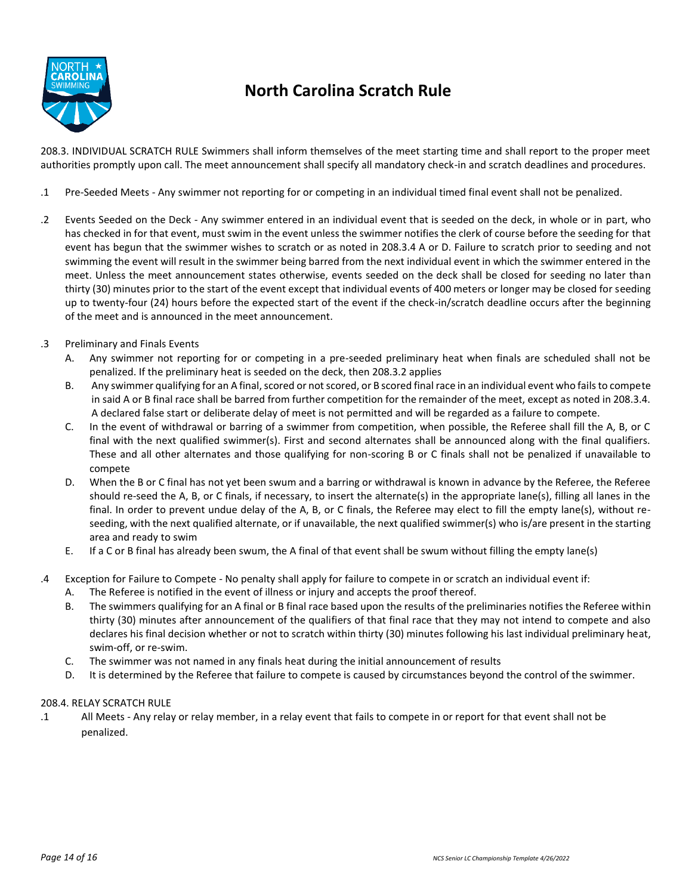

## **North Carolina Scratch Rule**

208.3. INDIVIDUAL SCRATCH RULE Swimmers shall inform themselves of the meet starting time and shall report to the proper meet authorities promptly upon call. The meet announcement shall specify all mandatory check-in and scratch deadlines and procedures.

- .1 Pre-Seeded Meets Any swimmer not reporting for or competing in an individual timed final event shall not be penalized.
- .2 Events Seeded on the Deck Any swimmer entered in an individual event that is seeded on the deck, in whole or in part, who has checked in for that event, must swim in the event unless the swimmer notifies the clerk of course before the seeding for that event has begun that the swimmer wishes to scratch or as noted in 208.3.4 A or D. Failure to scratch prior to seeding and not swimming the event will result in the swimmer being barred from the next individual event in which the swimmer entered in the meet. Unless the meet announcement states otherwise, events seeded on the deck shall be closed for seeding no later than thirty (30) minutes prior to the start of the event except that individual events of 400 meters or longer may be closed for seeding up to twenty-four (24) hours before the expected start of the event if the check-in/scratch deadline occurs after the beginning of the meet and is announced in the meet announcement.
- .3 Preliminary and Finals Events
	- A. Any swimmer not reporting for or competing in a pre-seeded preliminary heat when finals are scheduled shall not be penalized. If the preliminary heat is seeded on the deck, then 208.3.2 applies
	- B. Any swimmer qualifying for an A final, scored or not scored, or B scored final race in an individual event who fails to compete in said A or B final race shall be barred from further competition for the remainder of the meet, except as noted in 208.3.4. A declared false start or deliberate delay of meet is not permitted and will be regarded as a failure to compete.
	- C. In the event of withdrawal or barring of a swimmer from competition, when possible, the Referee shall fill the A, B, or C final with the next qualified swimmer(s). First and second alternates shall be announced along with the final qualifiers. These and all other alternates and those qualifying for non-scoring B or C finals shall not be penalized if unavailable to compete
	- D. When the B or C final has not yet been swum and a barring or withdrawal is known in advance by the Referee, the Referee should re-seed the A, B, or C finals, if necessary, to insert the alternate(s) in the appropriate lane(s), filling all lanes in the final. In order to prevent undue delay of the A, B, or C finals, the Referee may elect to fill the empty lane(s), without reseeding, with the next qualified alternate, or if unavailable, the next qualified swimmer(s) who is/are present in the starting area and ready to swim
	- E. If a C or B final has already been swum, the A final of that event shall be swum without filling the empty lane(s)
- .4 Exception for Failure to Compete No penalty shall apply for failure to compete in or scratch an individual event if:
	- A. The Referee is notified in the event of illness or injury and accepts the proof thereof.
	- B. The swimmers qualifying for an A final or B final race based upon the results of the preliminaries notifies the Referee within thirty (30) minutes after announcement of the qualifiers of that final race that they may not intend to compete and also declares his final decision whether or not to scratch within thirty (30) minutes following his last individual preliminary heat, swim-off, or re-swim.
	- C. The swimmer was not named in any finals heat during the initial announcement of results
	- D. It is determined by the Referee that failure to compete is caused by circumstances beyond the control of the swimmer.

### 208.4. RELAY SCRATCH RULE

.1 All Meets - Any relay or relay member, in a relay event that fails to compete in or report for that event shall not be penalized.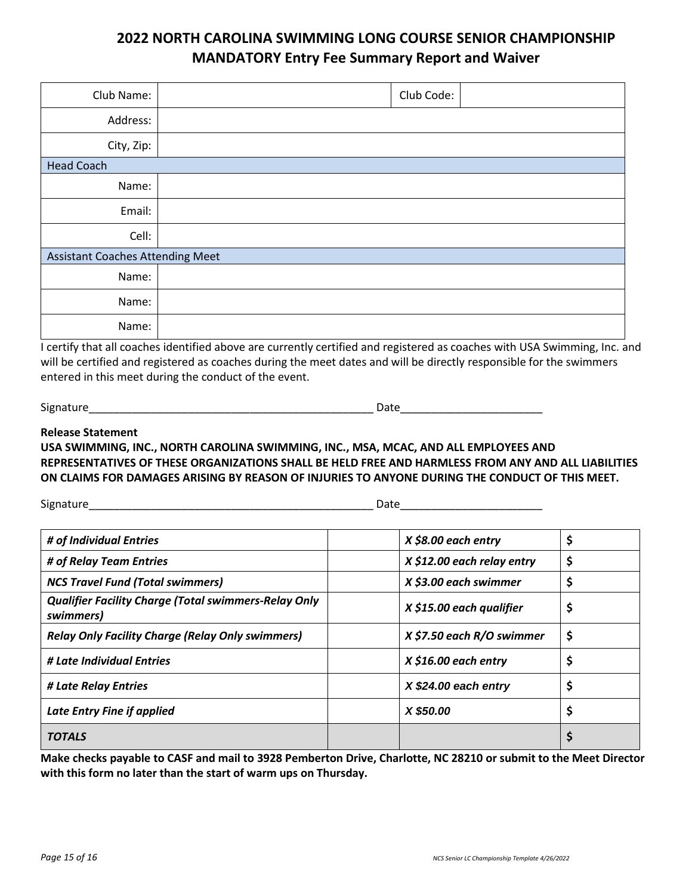### **2022 NORTH CAROLINA SWIMMING LONG COURSE SENIOR CHAMPIONSHIP MANDATORY Entry Fee Summary Report and Waiver**

| Club Name:                              |  | Club Code: |  |
|-----------------------------------------|--|------------|--|
| Address:                                |  |            |  |
| City, Zip:                              |  |            |  |
| <b>Head Coach</b>                       |  |            |  |
| Name:                                   |  |            |  |
| Email:                                  |  |            |  |
| Cell:                                   |  |            |  |
| <b>Assistant Coaches Attending Meet</b> |  |            |  |
| Name:                                   |  |            |  |
| Name:                                   |  |            |  |
| Name:                                   |  |            |  |

I certify that all coaches identified above are currently certified and registered as coaches with USA Swimming, Inc. and will be certified and registered as coaches during the meet dates and will be directly responsible for the swimmers entered in this meet during the conduct of the event.

Signature\_\_\_\_\_\_\_\_\_\_\_\_\_\_\_\_\_\_\_\_\_\_\_\_\_\_\_\_\_\_\_\_\_\_\_\_\_\_\_\_\_\_\_\_\_\_ Date\_\_\_\_\_\_\_\_\_\_\_\_\_\_\_\_\_\_\_\_\_\_\_

### **Release Statement**

**USA SWIMMING, INC., NORTH CAROLINA SWIMMING, INC., MSA, MCAC, AND ALL EMPLOYEES AND REPRESENTATIVES OF THESE ORGANIZATIONS SHALL BE HELD FREE AND HARMLESS FROM ANY AND ALL LIABILITIES ON CLAIMS FOR DAMAGES ARISING BY REASON OF INJURIES TO ANYONE DURING THE CONDUCT OF THIS MEET.** 

Signature\_\_\_\_\_\_\_\_\_\_\_\_\_\_\_\_\_\_\_\_\_\_\_\_\_\_\_\_\_\_\_\_\_\_\_\_\_\_\_\_\_\_\_\_\_\_ Date\_\_\_\_\_\_\_\_\_\_\_\_\_\_\_\_\_\_\_\_\_\_\_

| # of Individual Entries                                                  | $X $8.00$ each entry       | \$ |
|--------------------------------------------------------------------------|----------------------------|----|
| # of Relay Team Entries                                                  | X \$12.00 each relay entry | \$ |
| <b>NCS Travel Fund (Total swimmers)</b>                                  | X \$3.00 each swimmer      | \$ |
| <b>Qualifier Facility Charge (Total swimmers-Relay Only</b><br>swimmers) | X \$15.00 each qualifier   | \$ |
| <b>Relay Only Facility Charge (Relay Only swimmers)</b>                  | X \$7.50 each R/O swimmer  | \$ |
| # Late Individual Entries                                                | $X $16.00$ each entry      | \$ |
| # Late Relay Entries                                                     | $X $24.00$ each entry      | \$ |
| Late Entry Fine if applied                                               | X \$50.00                  | \$ |
| <b>TOTALS</b>                                                            |                            | \$ |

**Make checks payable to CASF and mail to 3928 Pemberton Drive, Charlotte, NC 28210 or submit to the Meet Director with this form no later than the start of warm ups on Thursday.**